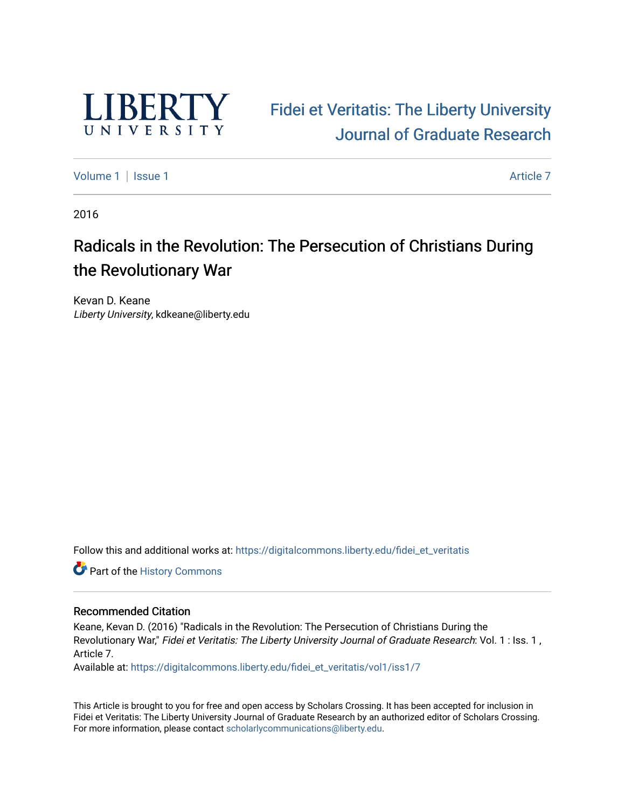

# Fidei et Veritatis: The Liberty University Journal of Gr[aduate Research](https://digitalcommons.liberty.edu/fidei_et_veritatis)

[Volume 1](https://digitalcommons.liberty.edu/fidei_et_veritatis/vol1) | [Issue 1](https://digitalcommons.liberty.edu/fidei_et_veritatis/vol1/iss1) Article 7

2016

# Radicals in the Revolution: The Persecution of Christians During the Revolutionary War

Kevan D. Keane Liberty University, kdkeane@liberty.edu

Follow this and additional works at: https://digitalcommons.liberty.edu/fidei\_et\_veritatis

Part of the [History Commons](http://network.bepress.com/hgg/discipline/489?utm_source=digitalcommons.liberty.edu%2Ffidei_et_veritatis%2Fvol1%2Fiss1%2F7&utm_medium=PDF&utm_campaign=PDFCoverPages) 

#### Recommended Citation

Keane, Kevan D. (2016) "Radicals in the Revolution: The Persecution of Christians During the Revolutionary War," Fidei et Veritatis: The Liberty University Journal of Graduate Research: Vol. 1 : Iss. 1 , Article 7.

Available at: https://digitalcommons.liberty.edu/fidei\_et\_veritatis/vol1/iss1/7

This Article is brought to you for free and open access by Scholars Crossing. It has been accepted for inclusion in Fidei et Veritatis: The Liberty University Journal of Graduate Research by an authorized editor of Scholars Crossing. For more information, please contact [scholarlycommunications@liberty.edu](mailto:scholarlycommunications@liberty.edu).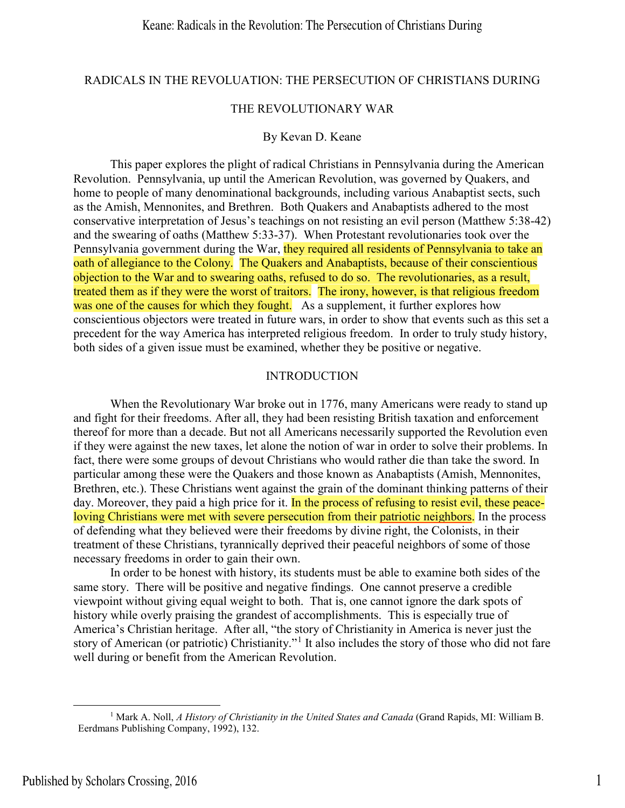# RADICALS IN THE REVOLUATION: THE PERSECUTION OF CHRISTIANS DURING

#### THE REVOLUTIONARY WAR

#### By Kevan D. Keane

This paper explores the plight of radical Christians in Pennsylvania during the American Revolution. Pennsylvania, up until the American Revolution, was governed by Quakers, and home to people of many denominational backgrounds, including various Anabaptist sects, such as the Amish, Mennonites, and Brethren. Both Quakers and Anabaptists adhered to the most conservative interpretation of Jesus's teachings on not resisting an evil person (Matthew 5:38-42) and the swearing of oaths (Matthew 5:33-37). When Protestant revolutionaries took over the Pennsylvania government during the War, they required all residents of Pennsylvania to take an oath of allegiance to the Colony. The Quakers and Anabaptists, because of their conscientious objection to the War and to swearing oaths, refused to do so. The revolutionaries, as a result, treated them as if they were the worst of traitors. The irony, however, is that religious freedom was one of the causes for which they fought. As a supplement, it further explores how conscientious objectors were treated in future wars, in order to show that events such as this set a precedent for the way America has interpreted religious freedom. In order to truly study history, both sides of a given issue must be examined, whether they be positive or negative.

#### **INTRODUCTION**

When the Revolutionary War broke out in 1776, many Americans were ready to stand up and fight for their freedoms. After all, they had been resisting British taxation and enforcement thereof for more than a decade. But not all Americans necessarily supported the Revolution even if they were against the new taxes, let alone the notion of war in order to solve their problems. In fact, there were some groups of devout Christians who would rather die than take the sword. In particular among these were the Quakers and those known as Anabaptists (Amish, Mennonites, Brethren, etc.). These Christians went against the grain of the dominant thinking patterns of their day. Moreover, they paid a high price for it. In the process of refusing to resist evil, these peaceloving Christians were met with severe persecution from their patriotic neighbors. In the process of defending what they believed were their freedoms by divine right, the Colonists, in their treatment of these Christians, tyrannically deprived their peaceful neighbors of some of those necessary freedoms in order to gain their own.

In order to be honest with history, its students must be able to examine both sides of the same story. There will be positive and negative findings. One cannot preserve a credible viewpoint without giving equal weight to both. That is, one cannot ignore the dark spots of history while overly praising the grandest of accomplishments. This is especially true of America's Christian heritage. After all, "the story of Christianity in America is never just the story of American (or patriotic) Christianity."<sup>[1](#page-1-0)</sup> It also includes the story of those who did not fare well during or benefit from the American Revolution.

<span id="page-1-0"></span><sup>1</sup> Mark A. Noll, *A History of Christianity in the United States and Canada* (Grand Rapids, MI: William B. Eerdmans Publishing Company, 1992), 132.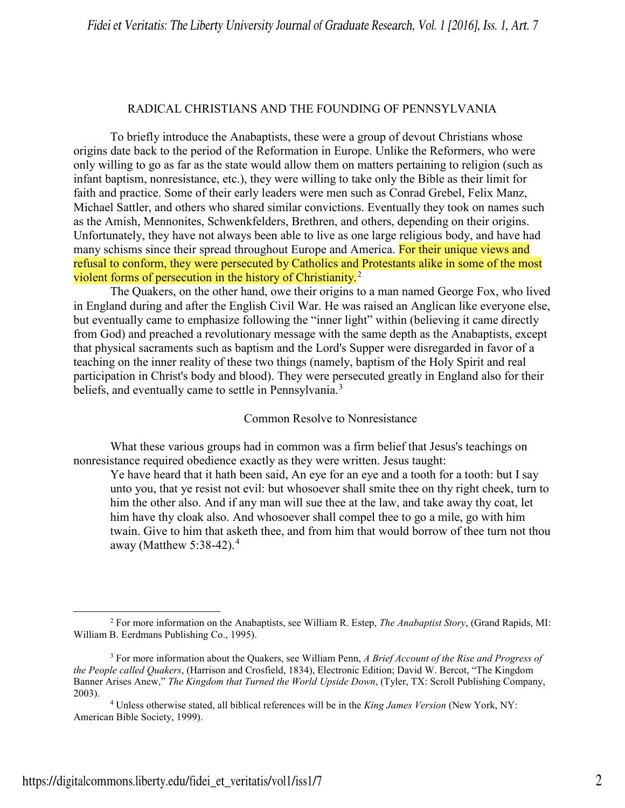### RADICAL CHRISTIANS AND THE FOUNDING OF PENNSYLVANIA

To briefly introduce the Anabaptists, these were a group of devout Christians whose origins date back to the period of the Reformation in Europe. Unlike the Reformers, who were only willing to go as far as the state would allow them on matters pertaining to religion (such as infant baptism, nonresistance, etc.), they were willing to take only the Bible as their limit for faith and practice. Some of their early leaders were men such as Conrad Grebel, Felix Manz, Michael Sattler, and others who shared similar convictions. Eventually they took on names such as the Amish, Mennonites, Schwenkfelders, Brethren, and others, depending on their origins. Unfortunately, they have not always been able to live as one large religious body, and have had many schisms since their spread throughout Europe and America. For their unique views and refusal to conform, they were persecuted by Catholics and Protestants alike in some of the most violent forms of persecution in the history of Christianity.<sup>[2](#page-2-0)</sup>

The Quakers, on the other hand, owe their origins to a man named George Fox, who lived in England during and after the English Civil War. He was raised an Anglican like everyone else, but eventually came to emphasize following the "inner light" within (believing it came directly from God) and preached a revolutionary message with the same depth as the Anabaptists, except that physical sacraments such as baptism and the Lord's Supper were disregarded in favor of a teaching on the inner reality of these two things (namely, baptism of the Holy Spirit and real participation in Christ's body and blood). They were persecuted greatly in England also for their beliefs, and eventually came to settle in Pennsylvania.<sup>[3](#page-2-1)</sup>

Common Resolve to Nonresistance

What these various groups had in common was a firm belief that Jesus's teachings on nonresistance required obedience exactly as they were written. Jesus taught:

Ye have heard that it hath been said, An eye for an eye and a tooth for a tooth: but I say unto you, that ye resist not evil: but whosoever shall smite thee on thy right cheek, turn to him the other also. And if any man will sue thee at the law, and take away thy coat, let him have thy cloak also. And whosoever shall compel thee to go a mile, go with him twain. Give to him that asketh thee, and from him that would borrow of thee turn not thou away (Matthew  $5:38-42$  $5:38-42$  $5:38-42$ ).<sup>4</sup>

<span id="page-2-0"></span> $\overline{\phantom{a}}$ <sup>2</sup> For more information on the Anabaptists, see William R. Estep, *The Anabaptist Story*, (Grand Rapids, MI: William B. Eerdmans Publishing Co., 1995).

<span id="page-2-1"></span><sup>3</sup> For more information about the Quakers, see William Penn, *A Brief Account of the Rise and Progress of the People called Quakers*, (Harrison and Crosfield, 1834), Electronic Edition; David W. Bercot, "The Kingdom Banner Arises Anew," *The Kingdom that Turned the World Upside Down*, (Tyler, TX: Scroll Publishing Company, 2003).

<span id="page-2-2"></span><sup>4</sup> Unless otherwise stated, all biblical references will be in the *King James Version* (New York, NY: American Bible Society, 1999).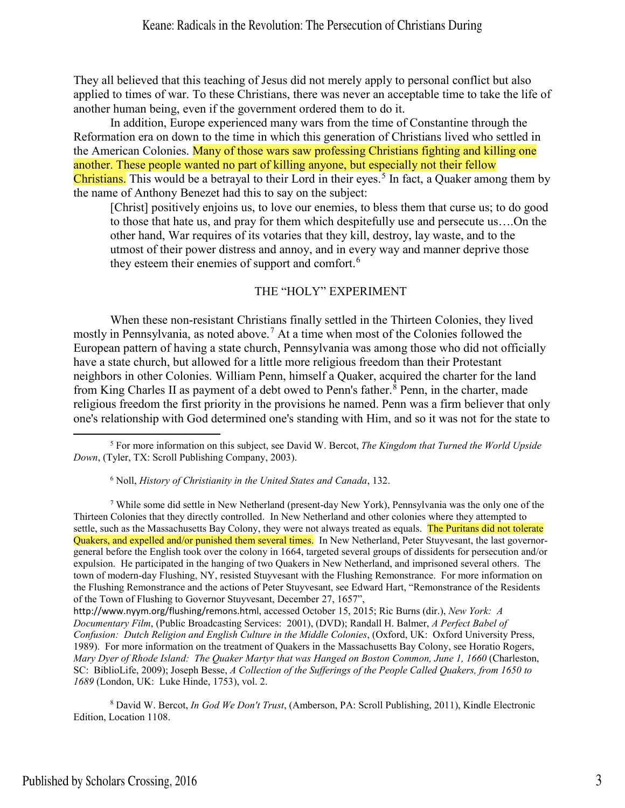They all believed that this teaching of Jesus did not merely apply to personal conflict but also applied to times of war. To these Christians, there was never an acceptable time to take the life of another human being, even if the government ordered them to do it.

In addition, Europe experienced many wars from the time of Constantine through the Reformation era on down to the time in which this generation of Christians lived who settled in the American Colonies. Many of those wars saw professing Christians fighting and killing one another. These people wanted no part of killing anyone, but especially not their fellow Christians. This would be a betrayal to their Lord in their eyes.<sup>[5](#page-3-0)</sup> In fact, a Quaker among them by the name of Anthony Benezet had this to say on the subject:

[Christ] positively enjoins us, to love our enemies, to bless them that curse us; to do good to those that hate us, and pray for them which despitefully use and persecute us….On the other hand, War requires of its votaries that they kill, destroy, lay waste, and to the utmost of their power distress and annoy, and in every way and manner deprive those they esteem their enemies of support and comfort.<sup>[6](#page-3-1)</sup>

### THE "HOLY" EXPERIMENT

When these non-resistant Christians finally settled in the Thirteen Colonies, they lived mostly in Pennsylvania, as noted above.<sup>[7](#page-3-2)</sup> At a time when most of the Colonies followed the European pattern of having a state church, Pennsylvania was among those who did not officially have a state church, but allowed for a little more religious freedom than their Protestant neighbors in other Colonies. William Penn, himself a Quaker, acquired the charter for the land from King Charles II as payment of a debt owed to Penn's father.<sup>[8](#page-3-3)</sup> Penn, in the charter, made religious freedom the first priority in the provisions he named. Penn was a firm believer that only one's relationship with God determined one's standing with Him, and so it was not for the state to

<span id="page-3-3"></span><sup>8</sup> David W. Bercot, *In God We Don't Trust*, (Amberson, PA: Scroll Publishing, 2011), Kindle Electronic Edition, Location 1108.

<span id="page-3-0"></span><sup>5</sup> For more information on this subject, see David W. Bercot, *The Kingdom that Turned the World Upside Down*, (Tyler, TX: Scroll Publishing Company, 2003).

<sup>6</sup> Noll, *History of Christianity in the United States and Canada*, 132.

<span id="page-3-2"></span><span id="page-3-1"></span><sup>7</sup> While some did settle in New Netherland (present-day New York), Pennsylvania was the only one of the Thirteen Colonies that they directly controlled. In New Netherland and other colonies where they attempted to settle, such as the Massachusetts Bay Colony, they were not always treated as equals. The Puritans did not tolerate Quakers, and expelled and/or punished them several times. In New Netherland, Peter Stuyvesant, the last governorgeneral before the English took over the colony in 1664, targeted several groups of dissidents for persecution and/or expulsion. He participated in the hanging of two Quakers in New Netherland, and imprisoned several others. The town of modern-day Flushing, NY, resisted Stuyvesant with the Flushing Remonstrance. For more information on the Flushing Remonstrance and the actions of Peter Stuyvesant, see Edward Hart, "Remonstrance of the Residents of the Town of Flushing to Governor Stuyvesant, December 27, 1657",

http://www.nyym.org/flushing/remons.html, accessed October 15, 2015; Ric Burns (dir.), *New York: A Documentary Film*, (Public Broadcasting Services: 2001), (DVD); Randall H. Balmer, *A Perfect Babel of Confusion: Dutch Religion and English Culture in the Middle Colonies*, (Oxford, UK: Oxford University Press, 1989). For more information on the treatment of Quakers in the Massachusetts Bay Colony, see Horatio Rogers, *Mary Dyer of Rhode Island: The Quaker Martyr that was Hanged on Boston Common, June 1, 1660* (Charleston, SC: BiblioLife, 2009); Joseph Besse, *A Collection of the Sufferings of the People Called Quakers, from 1650 to 1689* (London, UK: Luke Hinde, 1753), vol. 2.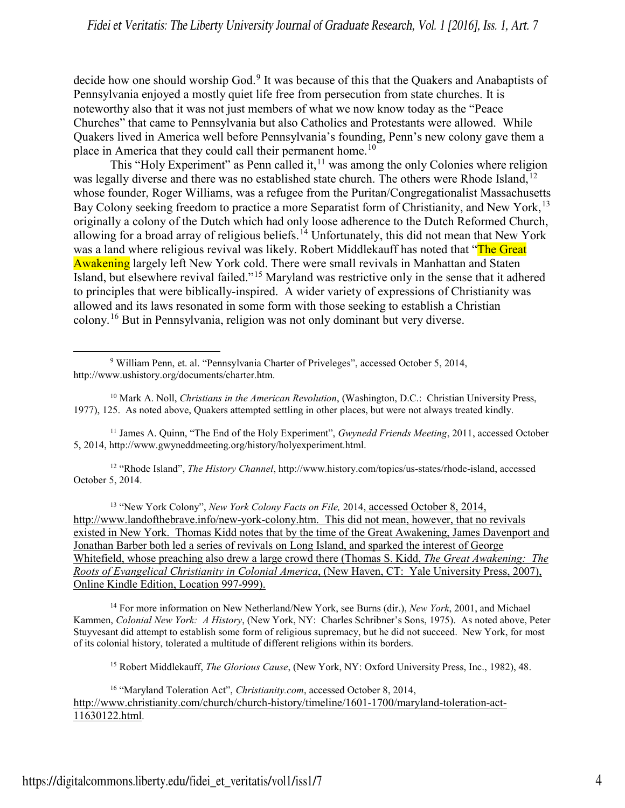decide how one should worship God.<sup>[9](#page-4-0)</sup> It was because of this that the Quakers and Anabaptists of Pennsylvania enjoyed a mostly quiet life free from persecution from state churches. It is noteworthy also that it was not just members of what we now know today as the "Peace Churches" that came to Pennsylvania but also Catholics and Protestants were allowed. While Quakers lived in America well before Pennsylvania's founding, Penn's new colony gave them a place in America that they could call their permanent home.<sup>[10](#page-4-1)</sup>

This "Holy Experiment" as Penn called it,  $\frac{11}{11}$  was among the only Colonies where religion was legally diverse and there was no established state church. The others were Rhode Island,<sup>[12](#page-4-3)</sup> whose founder, Roger Williams, was a refugee from the Puritan/Congregationalist Massachusetts Bay Colony seeking freedom to practice a more Separatist form of Christianity, and New York,<sup>[13](#page-4-4)</sup> originally a colony of the Dutch which had only loose adherence to the Dutch Reformed Church, allowing for a broad array of religious beliefs.<sup>14</sup> Unfortunately, this did not mean that New York was a land where religious revival was likely. Robert Middlekauff has noted that "The Great" Awakening largely left New York cold. There were small revivals in Manhattan and Staten Island, but elsewhere revival failed."[15](#page-4-6) Maryland was restrictive only in the sense that it adhered to principles that were biblically-inspired. A wider variety of expressions of Christianity was allowed and its laws resonated in some form with those seeking to establish a Christian colony.[16](#page-4-7) But in Pennsylvania, religion was not only dominant but very diverse.

<span id="page-4-2"></span><sup>11</sup> James A. Quinn, "The End of the Holy Experiment", *Gwynedd Friends Meeting*, 2011, accessed October 5, 2014, [http://www.gwyneddmeeting.org/history/holyexperiment.html.](http://www.gwyneddmeeting.org/history/holyexperiment.html)

<span id="page-4-3"></span><sup>12</sup> "Rhode Island", *The History Channel*, [http://www.history.com/topics/us-states/rhode-island,](http://www.history.com/topics/us-states/rhode-island) accessed October 5, 2014.

<span id="page-4-4"></span><sup>13</sup> "New York Colony", *New York Colony Facts on File,* 2014, accessed October 8, 2014, [http://www.landofthebrave.info/new-york-colony.htm.](http://www.landofthebrave.info/new-york-colony.htm) This did not mean, however, that no revivals existed in New York. Thomas Kidd notes that by the time of the Great Awakening, James Davenport and Jonathan Barber both led a series of revivals on Long Island, and sparked the interest of George Whitefield, whose preaching also drew a large crowd there (Thomas S. Kidd, *The Great Awakening: The Roots of Evangelical Christianity in Colonial America*, (New Haven, CT: Yale University Press, 2007), Online Kindle Edition, Location 997-999).

<span id="page-4-5"></span><sup>14</sup> For more information on New Netherland/New York, see Burns (dir.), *New York*, 2001, and Michael Kammen, *Colonial New York: A History*, (New York, NY: Charles Schribner's Sons, 1975). As noted above, Peter Stuyvesant did attempt to establish some form of religious supremacy, but he did not succeed. New York, for most of its colonial history, tolerated a multitude of different religions within its borders.

<sup>15</sup> Robert Middlekauff, *The Glorious Cause*, (New York, NY: Oxford University Press, Inc., 1982), 48.

<span id="page-4-7"></span><span id="page-4-6"></span><sup>16</sup> "Maryland Toleration Act", *Christianity.com*, accessed October 8, 2014, [http://www.christianity.com/church/church-history/timeline/1601-1700/maryland-toleration-act-](http://www.christianity.com/church/church-history/timeline/1601-1700/maryland-toleration-act-11630122.html)[11630122.html.](http://www.christianity.com/church/church-history/timeline/1601-1700/maryland-toleration-act-11630122.html)

<span id="page-4-0"></span> $\overline{\phantom{a}}$ <sup>9</sup> William Penn, et. al. "Pennsylvania Charter of Priveleges", accessed October 5, 2014, [http://www.ushistory.org/documents/charter.htm.](http://www.ushistory.org/documents/charter.htm)

<span id="page-4-1"></span><sup>10</sup> Mark A. Noll, *Christians in the American Revolution*, (Washington, D.C.: Christian University Press, 1977), 125. As noted above, Quakers attempted settling in other places, but were not always treated kindly.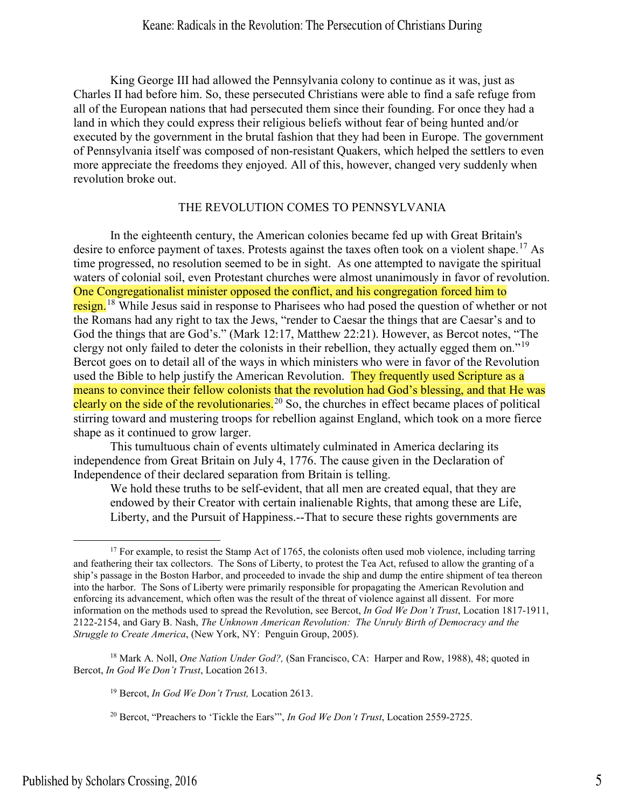King George III had allowed the Pennsylvania colony to continue as it was, just as Charles II had before him. So, these persecuted Christians were able to find a safe refuge from all of the European nations that had persecuted them since their founding. For once they had a land in which they could express their religious beliefs without fear of being hunted and/or executed by the government in the brutal fashion that they had been in Europe. The government of Pennsylvania itself was composed of non-resistant Quakers, which helped the settlers to even more appreciate the freedoms they enjoyed. All of this, however, changed very suddenly when revolution broke out.

### THE REVOLUTION COMES TO PENNSYLVANIA

In the eighteenth century, the American colonies became fed up with Great Britain's desire to enforce payment of taxes. Protests against the taxes often took on a violent shape.<sup>[17](#page-5-0)</sup> As time progressed, no resolution seemed to be in sight. As one attempted to navigate the spiritual waters of colonial soil, even Protestant churches were almost unanimously in favor of revolution. One Congregationalist minister opposed the conflict, and his congregation forced him to resign.<sup>[18](#page-5-1)</sup> While Jesus said in response to Pharisees who had posed the question of whether or not the Romans had any right to tax the Jews, "render to Caesar the things that are Caesar's and to God the things that are God's." (Mark 12:17, Matthew 22:21). However, as Bercot notes, "The clergy not only failed to deter the colonists in their rebellion, they actually egged them on."[19](#page-5-2) Bercot goes on to detail all of the ways in which ministers who were in favor of the Revolution used the Bible to help justify the American Revolution. They frequently used Scripture as a means to convince their fellow colonists that the revolution had God's blessing, and that He was clearly on the side of the revolutionaries.<sup>[20](#page-5-3)</sup> So, the churches in effect became places of political stirring toward and mustering troops for rebellion against England, which took on a more fierce shape as it continued to grow larger.

This tumultuous chain of events ultimately culminated in America declaring its independence from Great Britain on July 4, 1776. The cause given in the Declaration of Independence of their declared separation from Britain is telling.

We hold these truths to be self-evident, that all men are created equal, that they are endowed by their Creator with certain inalienable Rights, that among these are Life, Liberty, and the Pursuit of Happiness.--That to secure these rights governments are

<span id="page-5-3"></span><span id="page-5-2"></span><span id="page-5-1"></span><sup>18</sup> Mark A. Noll, *One Nation Under God?,* (San Francisco, CA: Harper and Row, 1988), 48; quoted in Bercot, *In God We Don't Trust*, Location 2613.

<sup>19</sup> Bercot, *In God We Don't Trust,* Location 2613.

<sup>20</sup> Bercot, "Preachers to 'Tickle the Ears'", *In God We Don't Trust*, Location 2559-2725.

<span id="page-5-0"></span><sup>&</sup>lt;sup>17</sup> For example, to resist the Stamp Act of 1765, the colonists often used mob violence, including tarring and feathering their tax collectors. The Sons of Liberty, to protest the Tea Act, refused to allow the granting of a ship's passage in the Boston Harbor, and proceeded to invade the ship and dump the entire shipment of tea thereon into the harbor. The Sons of Liberty were primarily responsible for propagating the American Revolution and enforcing its advancement, which often was the result of the threat of violence against all dissent. For more information on the methods used to spread the Revolution, see Bercot, *In God We Don't Trust*, Location 1817-1911, 2122-2154, and Gary B. Nash, *The Unknown American Revolution: The Unruly Birth of Democracy and the Struggle to Create America*, (New York, NY: Penguin Group, 2005).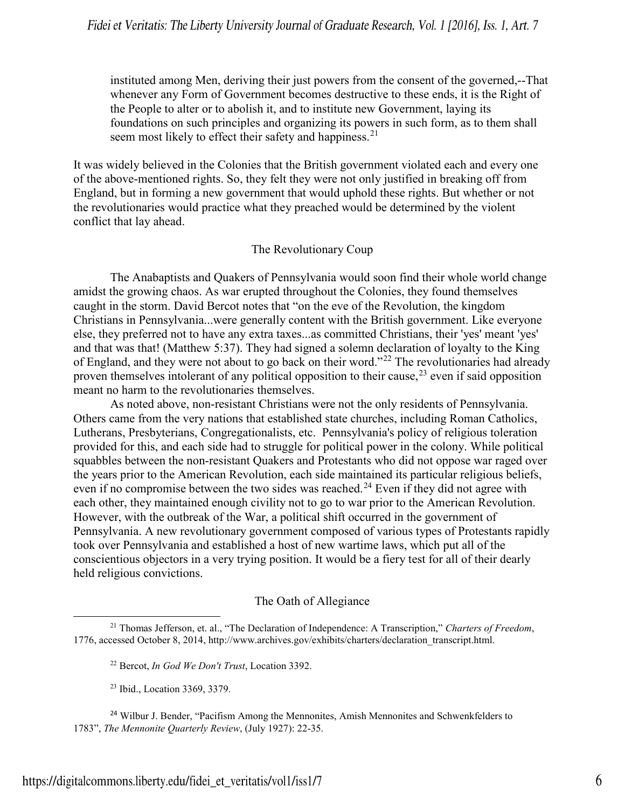instituted among Men, deriving their just powers from the consent of the governed,--That whenever any Form of Government becomes destructive to these ends, it is the Right of the People to alter or to abolish it, and to institute new Government, laying its foundations on such principles and organizing its powers in such form, as to them shall seem most likely to effect their safety and happiness.<sup>21</sup>

It was widely believed in the Colonies that the British government violated each and every one of the above-mentioned rights. So, they felt they were not only justified in breaking off from England, but in forming a new government that would uphold these rights. But whether or not the revolutionaries would practice what they preached would be determined by the violent conflict that lay ahead.

# The Revolutionary Coup

The Anabaptists and Quakers of Pennsylvania would soon find their whole world change amidst the growing chaos. As war erupted throughout the Colonies, they found themselves caught in the storm. David Bercot notes that "on the eve of the Revolution, the kingdom Christians in Pennsylvania...were generally content with the British government. Like everyone else, they preferred not to have any extra taxes...as committed Christians, their 'yes' meant 'yes' and that was that! (Matthew 5:37). They had signed a solemn declaration of loyalty to the King of England, and they were not about to go back on their word."[22](#page-6-1) The revolutionaries had already proven themselves intolerant of any political opposition to their cause,<sup>23</sup> even if said opposition meant no harm to the revolutionaries themselves.

As noted above, non-resistant Christians were not the only residents of Pennsylvania. Others came from the very nations that established state churches, including Roman Catholics, Lutherans, Presbyterians, Congregationalists, etc. Pennsylvania's policy of religious toleration provided for this, and each side had to struggle for political power in the colony. While political squabbles between the non-resistant Quakers and Protestants who did not oppose war raged over the years prior to the American Revolution, each side maintained its particular religious beliefs, even if no compromise between the two sides was reached.<sup>24</sup> Even if they did not agree with each other, they maintained enough civility not to go to war prior to the American Revolution. However, with the outbreak of the War, a political shift occurred in the government of Pennsylvania. A new revolutionary government composed of various types of Protestants rapidly took over Pennsylvania and established a host of new wartime laws, which put all of the conscientious objectors in a very trying position. It would be a fiery test for all of their dearly held religious convictions.

# The Oath of Allegiance

<span id="page-6-1"></span><span id="page-6-0"></span><sup>21</sup> Thomas Jefferson, et. al., "The Declaration of Independence: A Transcription," *Charters of Freedom*, 1776, accessed October 8, 2014, [http://www.archives.gov/exhibits/charters/declaration\\_transcript.html.](http://www.archives.gov/exhibits/charters/declaration_transcript.html)

<sup>22</sup> Bercot, *In God We Don't Trust*, Location 3392.

<sup>23</sup> Ibid., Location 3369, 3379.

<span id="page-6-3"></span><span id="page-6-2"></span><sup>&</sup>lt;sup>24</sup> Wilbur J. Bender, "Pacifism Among the Mennonites, Amish Mennonites and Schwenkfelders to 1783", *The Mennonite Quarterly Review*, (July 1927): 22-35.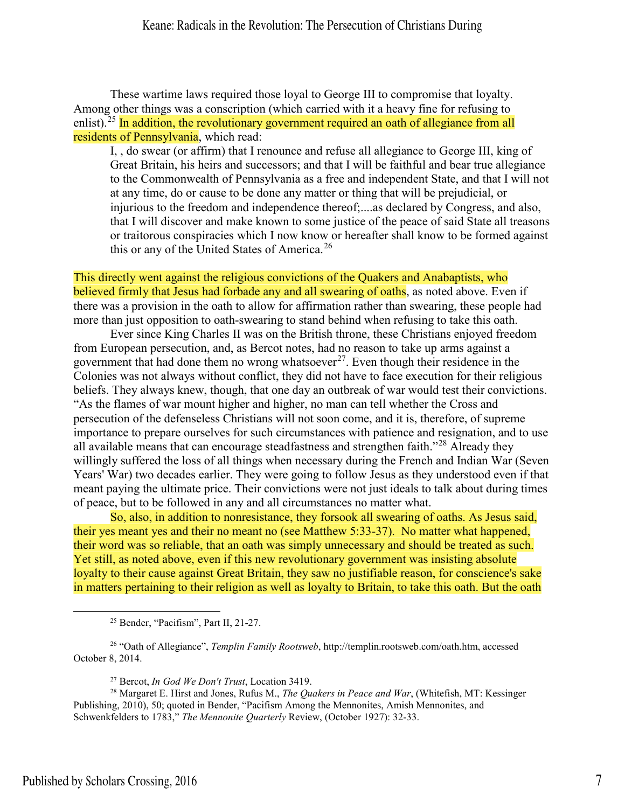These wartime laws required those loyal to George III to compromise that loyalty. Among other things was a conscription (which carried with it a heavy fine for refusing to enlist).<sup>25</sup> In addition, the revolutionary government required an oath of allegiance from all residents of Pennsylvania, which read:

I, , do swear (or affirm) that I renounce and refuse all allegiance to George III, king of Great Britain, his heirs and successors; and that I will be faithful and bear true allegiance to the Commonwealth of Pennsylvania as a free and independent State, and that I will not at any time, do or cause to be done any matter or thing that will be prejudicial, or injurious to the freedom and independence thereof;....as declared by Congress, and also, that I will discover and make known to some justice of the peace of said State all treasons or traitorous conspiracies which I now know or hereafter shall know to be formed against this or any of the United States of America.<sup>26</sup>

This directly went against the religious convictions of the Quakers and Anabaptists, who believed firmly that Jesus had forbade any and all swearing of oaths, as noted above. Even if there was a provision in the oath to allow for affirmation rather than swearing, these people had more than just opposition to oath-swearing to stand behind when refusing to take this oath.

Ever since King Charles II was on the British throne, these Christians enjoyed freedom from European persecution, and, as Bercot notes, had no reason to take up arms against a government that had done them no wrong whatsoever<sup>27</sup>. Even though their residence in the Colonies was not always without conflict, they did not have to face execution for their religious beliefs. They always knew, though, that one day an outbreak of war would test their convictions. "As the flames of war mount higher and higher, no man can tell whether the Cross and persecution of the defenseless Christians will not soon come, and it is, therefore, of supreme importance to prepare ourselves for such circumstances with patience and resignation, and to use all available means that can encourage steadfastness and strengthen faith."[28](#page-7-3) Already they willingly suffered the loss of all things when necessary during the French and Indian War (Seven Years' War) two decades earlier. They were going to follow Jesus as they understood even if that meant paying the ultimate price. Their convictions were not just ideals to talk about during times of peace, but to be followed in any and all circumstances no matter what.

So, also, in addition to nonresistance, they forsook all swearing of oaths. As Jesus said, their yes meant yes and their no meant no (see Matthew 5:33-37). No matter what happened, their word was so reliable, that an oath was simply unnecessary and should be treated as such. Yet still, as noted above, even if this new revolutionary government was insisting absolute loyalty to their cause against Great Britain, they saw no justifiable reason, for conscience's sake in matters pertaining to their religion as well as loyalty to Britain, to take this oath. But the oath

<sup>25</sup> Bender, "Pacifism", Part II, 21-27.

<span id="page-7-1"></span><span id="page-7-0"></span><sup>26</sup> "Oath of Allegiance", *Templin Family Rootsweb*, http://templin.rootsweb.com/oath.htm, accessed October 8, 2014.

<sup>27</sup> Bercot, *In God We Don't Trust*, Location 3419.

<span id="page-7-3"></span><span id="page-7-2"></span><sup>28</sup> Margaret E. Hirst and Jones, Rufus M., *The Quakers in Peace and War*, (Whitefish, MT: Kessinger Publishing, 2010), 50; quoted in Bender, "Pacifism Among the Mennonites, Amish Mennonites, and Schwenkfelders to 1783," *The Mennonite Quarterly* Review, (October 1927): 32-33.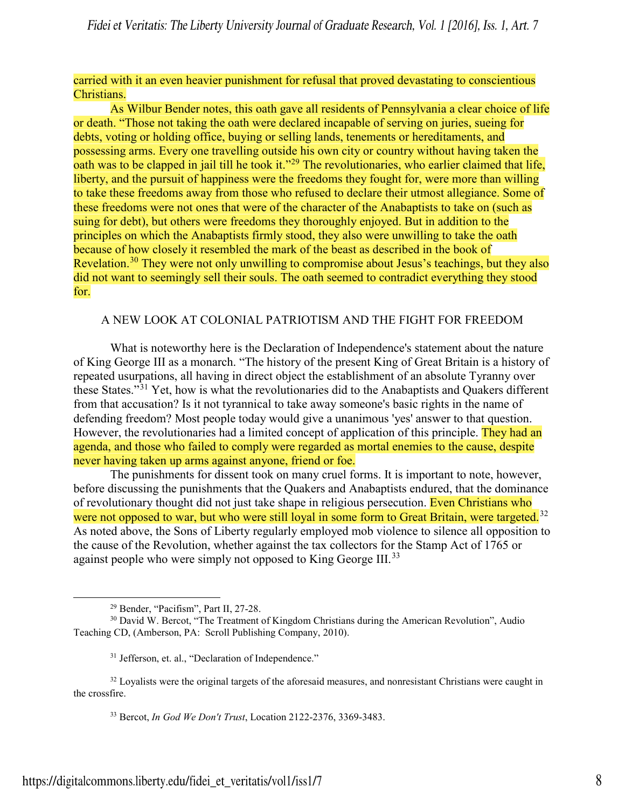## carried with it an even heavier punishment for refusal that proved devastating to conscientious Christians.

As Wilbur Bender notes, this oath gave all residents of Pennsylvania a clear choice of life or death. "Those not taking the oath were declared incapable of serving on juries, sueing for debts, voting or holding office, buying or selling lands, tenements or hereditaments, and possessing arms. Every one travelling outside his own city or country without having taken the oath was to be clapped in jail till he took it."<sup>29</sup> The revolutionaries, who earlier claimed that life, liberty, and the pursuit of happiness were the freedoms they fought for, were more than willing to take these freedoms away from those who refused to declare their utmost allegiance. Some of these freedoms were not ones that were of the character of the Anabaptists to take on (such as suing for debt), but others were freedoms they thoroughly enjoyed. But in addition to the principles on which the Anabaptists firmly stood, they also were unwilling to take the oath because of how closely it resembled the mark of the beast as described in the book of Revelation.<sup>30</sup> They were not only unwilling to compromise about Jesus's teachings, but they also did not want to seemingly sell their souls. The oath seemed to contradict everything they stood for.

# A NEW LOOK AT COLONIAL PATRIOTISM AND THE FIGHT FOR FREEDOM

What is noteworthy here is the Declaration of Independence's statement about the nature of King George III as a monarch. "The history of the present King of Great Britain is a history of repeated usurpations, all having in direct object the establishment of an absolute Tyranny over these States."[31](#page-8-2) Yet, how is what the revolutionaries did to the Anabaptists and Quakers different from that accusation? Is it not tyrannical to take away someone's basic rights in the name of defending freedom? Most people today would give a unanimous 'yes' answer to that question. However, the revolutionaries had a limited concept of application of this principle. They had an agenda, and those who failed to comply were regarded as mortal enemies to the cause, despite never having taken up arms against anyone, friend or foe.

The punishments for dissent took on many cruel forms. It is important to note, however, before discussing the punishments that the Quakers and Anabaptists endured, that the dominance of revolutionary thought did not just take shape in religious persecution. Even Christians who were not opposed to war, but who were still loyal in some form to Great Britain, were targeted.<sup>[32](#page-8-3)</sup> As noted above, the Sons of Liberty regularly employed mob violence to silence all opposition to the cause of the Revolution, whether against the tax collectors for the Stamp Act of 1765 or against people who were simply not opposed to King George III.<sup>[33](#page-8-4)</sup>

<sup>29</sup> Bender, "Pacifism", Part II, 27-28.

<span id="page-8-1"></span><span id="page-8-0"></span><sup>&</sup>lt;sup>30</sup> David W. Bercot, "The Treatment of Kingdom Christians during the American Revolution", Audio Teaching CD, (Amberson, PA: Scroll Publishing Company, 2010).

<sup>&</sup>lt;sup>31</sup> Jefferson, et. al., "Declaration of Independence."

<span id="page-8-4"></span><span id="page-8-3"></span><span id="page-8-2"></span><sup>&</sup>lt;sup>32</sup> Loyalists were the original targets of the aforesaid measures, and nonresistant Christians were caught in the crossfire.

<sup>33</sup> Bercot, *In God We Don't Trust*, Location 2122-2376, 3369-3483.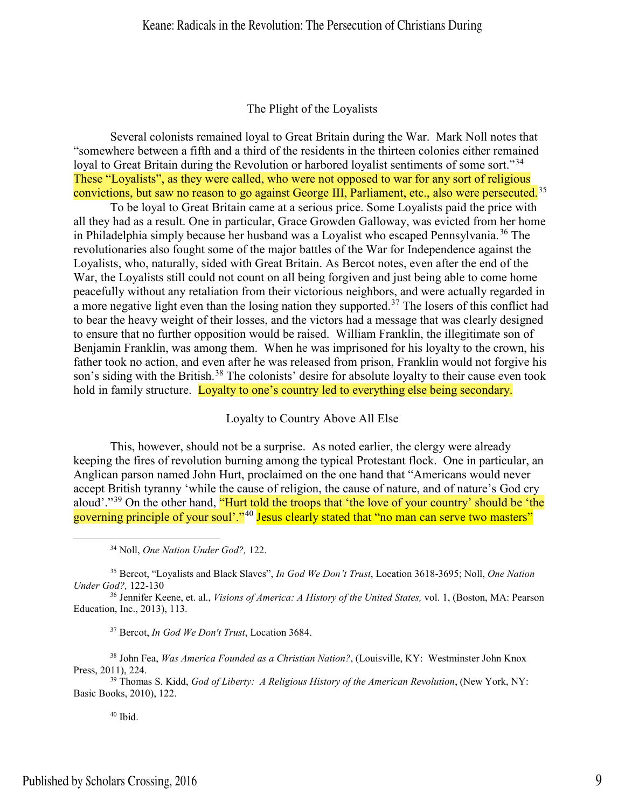## The Plight of the Loyalists

Several colonists remained loyal to Great Britain during the War. Mark Noll notes that "somewhere between a fifth and a third of the residents in the thirteen colonies either remained loyal to Great Britain during the Revolution or harbored loyalist sentiments of some sort."<sup>[34](#page-9-0)</sup> These "Loyalists", as they were called, who were not opposed to war for any sort of religious convictions, but saw no reason to go against George III, Parliament, etc., also were persecuted.<sup>35</sup>

To be loyal to Great Britain came at a serious price. Some Loyalists paid the price with all they had as a result. One in particular, Grace Growden Galloway, was evicted from her home in Philadelphia simply because her husband was a Loyalist who escaped Pennsylvania.<sup>[36](#page-9-2)</sup> The revolutionaries also fought some of the major battles of the War for Independence against the Loyalists, who, naturally, sided with Great Britain. As Bercot notes, even after the end of the War, the Loyalists still could not count on all being forgiven and just being able to come home peacefully without any retaliation from their victorious neighbors, and were actually regarded in a more negative light even than the losing nation they supported.<sup>37</sup> The losers of this conflict had to bear the heavy weight of their losses, and the victors had a message that was clearly designed to ensure that no further opposition would be raised. William Franklin, the illegitimate son of Benjamin Franklin, was among them. When he was imprisoned for his loyalty to the crown, his father took no action, and even after he was released from prison, Franklin would not forgive his son's siding with the British.<sup>[38](#page-9-4)</sup> The colonists' desire for absolute loyalty to their cause even took hold in family structure. Loyalty to one's country led to everything else being secondary.

Loyalty to Country Above All Else

This, however, should not be a surprise. As noted earlier, the clergy were already keeping the fires of revolution burning among the typical Protestant flock. One in particular, an Anglican parson named John Hurt, proclaimed on the one hand that "Americans would never accept British tyranny 'while the cause of religion, the cause of nature, and of nature's God cry aloud'."<sup>39</sup> On the other hand, "Hurt told the troops that 'the love of your country' should be 'the governing principle of your soul'."<sup>[40](#page-9-6)</sup> Jesus clearly stated that "no man can serve two masters"

<span id="page-9-1"></span><sup>35</sup> Bercot, "Loyalists and Black Slaves", *In God We Don't Trust*, Location 3618-3695; Noll, *One Nation Under God?,* 122-130

<span id="page-9-2"></span><sup>36</sup> Jennifer Keene, et. al., *Visions of America: A History of the United States,* vol. 1, (Boston, MA: Pearson Education, Inc., 2013), 113.

<sup>37</sup> Bercot, *In God We Don't Trust*, Location 3684.

<span id="page-9-4"></span><span id="page-9-3"></span><sup>38</sup> John Fea, *Was America Founded as a Christian Nation?*, (Louisville, KY: Westminster John Knox Press, 2011), 224.

<span id="page-9-6"></span><span id="page-9-5"></span><sup>39</sup> Thomas S. Kidd, *God of Liberty: A Religious History of the American Revolution*, (New York, NY: Basic Books, 2010), 122.

 $40$  Ibid.

<span id="page-9-0"></span>l

<sup>34</sup> Noll, *One Nation Under God?,* 122.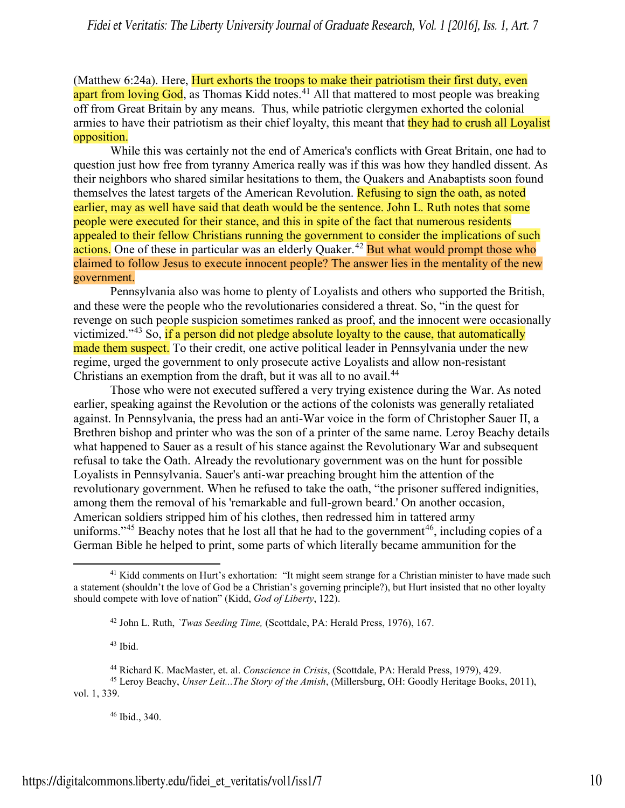(Matthew 6:24a). Here, Hurt exhorts the troops to make their patriotism their first duty, even apart from loving God, as Thomas Kidd notes.<sup>[41](#page-10-0)</sup> All that mattered to most people was breaking off from Great Britain by any means. Thus, while patriotic clergymen exhorted the colonial armies to have their patriotism as their chief loyalty, this meant that they had to crush all Loyalist opposition.

While this was certainly not the end of America's conflicts with Great Britain, one had to question just how free from tyranny America really was if this was how they handled dissent. As their neighbors who shared similar hesitations to them, the Quakers and Anabaptists soon found themselves the latest targets of the American Revolution. Refusing to sign the oath, as noted earlier, may as well have said that death would be the sentence. John L. Ruth notes that some people were executed for their stance, and this in spite of the fact that numerous residents appealed to their fellow Christians running the government to consider the implications of such actions. One of these in particular was an elderly Quaker.<sup>[42](#page-10-1)</sup> But what would prompt those who claimed to follow Jesus to execute innocent people? The answer lies in the mentality of the new government.

Pennsylvania also was home to plenty of Loyalists and others who supported the British, and these were the people who the revolutionaries considered a threat. So, "in the quest for revenge on such people suspicion sometimes ranked as proof, and the innocent were occasionally victimized."[43](#page-10-2) So, if a person did not pledge absolute loyalty to the cause, that automatically made them suspect. To their credit, one active political leader in Pennsylvania under the new regime, urged the government to only prosecute active Loyalists and allow non-resistant Christians an exemption from the draft, but it was all to no avail.<sup>[44](#page-10-3)</sup>

Those who were not executed suffered a very trying existence during the War. As noted earlier, speaking against the Revolution or the actions of the colonists was generally retaliated against. In Pennsylvania, the press had an anti-War voice in the form of Christopher Sauer II, a Brethren bishop and printer who was the son of a printer of the same name. Leroy Beachy details what happened to Sauer as a result of his stance against the Revolutionary War and subsequent refusal to take the Oath. Already the revolutionary government was on the hunt for possible Loyalists in Pennsylvania. Sauer's anti-war preaching brought him the attention of the revolutionary government. When he refused to take the oath, "the prisoner suffered indignities, among them the removal of his 'remarkable and full-grown beard.' On another occasion, American soldiers stripped him of his clothes, then redressed him in tattered army uniforms."<sup>[45](#page-10-4)</sup> Beachy notes that he lost all that he had to the government<sup>[46](#page-10-5)</sup>, including copies of a German Bible he helped to print, some parts of which literally became ammunition for the

 $43$  Ibid.

 $\overline{a}$ 

<span id="page-10-5"></span><span id="page-10-4"></span><span id="page-10-3"></span><span id="page-10-2"></span><sup>45</sup> Leroy Beachy, *Unser Leit...The Story of the Amish*, (Millersburg, OH: Goodly Heritage Books, 2011), vol. 1, 339.

 $46$  Ibid., 340.

<span id="page-10-1"></span><span id="page-10-0"></span><sup>&</sup>lt;sup>41</sup> Kidd comments on Hurt's exhortation: "It might seem strange for a Christian minister to have made such a statement (shouldn't the love of God be a Christian's governing principle?), but Hurt insisted that no other loyalty should compete with love of nation" (Kidd, *God of Liberty*, 122).

<sup>42</sup> John L. Ruth, *`Twas Seeding Time,* (Scottdale, PA: Herald Press, 1976), 167.

<sup>44</sup> Richard K. MacMaster, et. al. *Conscience in Crisis*, (Scottdale, PA: Herald Press, 1979), 429.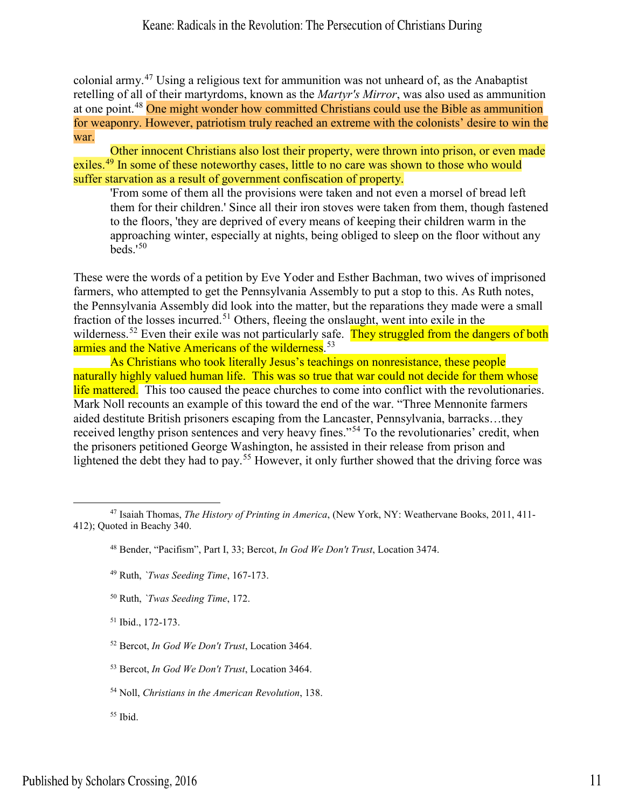colonial army. [47](#page-11-0) Using a religious text for ammunition was not unheard of, as the Anabaptist retelling of all of their martyrdoms, known as the *Martyr's Mirror*, was also used as ammunition at one point.[48](#page-11-1) One might wonder how committed Christians could use the Bible as ammunition for weaponry. However, patriotism truly reached an extreme with the colonists' desire to win the war.

Other innocent Christians also lost their property, were thrown into prison, or even made exiles.<sup>[49](#page-11-2)</sup> In some of these noteworthy cases, little to no care was shown to those who would suffer starvation as a result of government confiscation of property.

'From some of them all the provisions were taken and not even a morsel of bread left them for their children.' Since all their iron stoves were taken from them, though fastened to the floors, 'they are deprived of every means of keeping their children warm in the approaching winter, especially at nights, being obliged to sleep on the floor without any  $\text{heds}$ <sup>1[50](#page-11-3)</sup>

These were the words of a petition by Eve Yoder and Esther Bachman, two wives of imprisoned farmers, who attempted to get the Pennsylvania Assembly to put a stop to this. As Ruth notes, the Pennsylvania Assembly did look into the matter, but the reparations they made were a small fraction of the losses incurred.<sup>[51](#page-11-4)</sup> Others, fleeing the onslaught, went into exile in the wilderness.<sup>[52](#page-11-5)</sup> Even their exile was not particularly safe. They struggled from the dangers of both armies and the Native Americans of the wilderness.<sup>[53](#page-11-6)</sup>

 As Christians who took literally Jesus's teachings on nonresistance, these people naturally highly valued human life. This was so true that war could not decide for them whose life mattered. This too caused the peace churches to come into conflict with the revolutionaries. Mark Noll recounts an example of this toward the end of the war. "Three Mennonite farmers aided destitute British prisoners escaping from the Lancaster, Pennsylvania, barracks…they received lengthy prison sentences and very heavy fines."<sup>[54](#page-11-7)</sup> To the revolutionaries' credit, when the prisoners petitioned George Washington, he assisted in their release from prison and lightened the debt they had to pay.<sup>[55](#page-11-8)</sup> However, it only further showed that the driving force was

<span id="page-11-3"></span><sup>50</sup> Ruth, *`Twas Seeding Time*, 172.

<span id="page-11-4"></span><sup>51</sup> Ibid., 172-173.

<span id="page-11-5"></span><sup>52</sup> Bercot, *In God We Don't Trust*, Location 3464.

<span id="page-11-6"></span><sup>53</sup> Bercot, *In God We Don't Trust*, Location 3464.

<span id="page-11-7"></span><sup>54</sup> Noll, *Christians in the American Revolution*, 138.

<span id="page-11-8"></span> $55$  Ibid.

l

<span id="page-11-2"></span><span id="page-11-1"></span><span id="page-11-0"></span><sup>47</sup> Isaiah Thomas, *The History of Printing in America*, (New York, NY: Weathervane Books, 2011, 411- 412); Quoted in Beachy 340.

<sup>48</sup> Bender, "Pacifism", Part I, 33; Bercot, *In God We Don't Trust*, Location 3474.

<sup>49</sup> Ruth, *`Twas Seeding Time*, 167-173.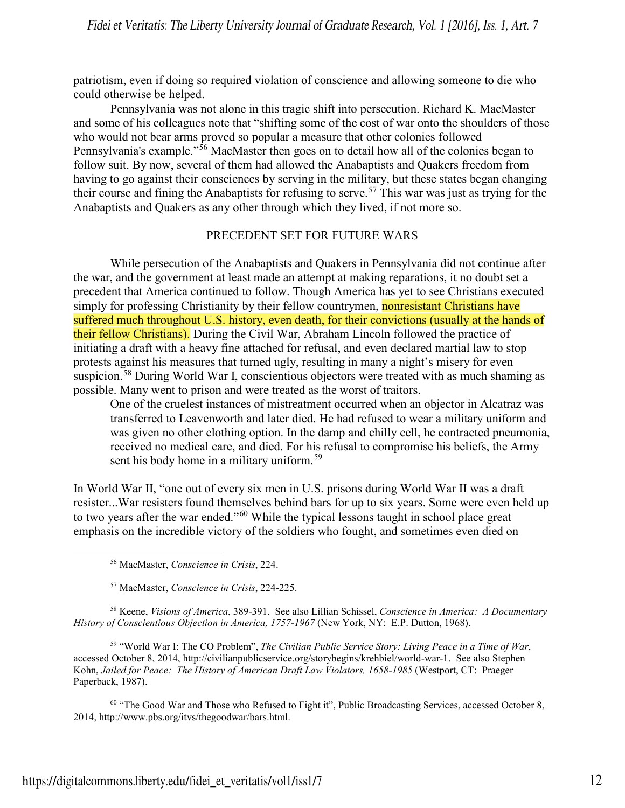patriotism, even if doing so required violation of conscience and allowing someone to die who could otherwise be helped.

Pennsylvania was not alone in this tragic shift into persecution. Richard K. MacMaster and some of his colleagues note that "shifting some of the cost of war onto the shoulders of those who would not bear arms proved so popular a measure that other colonies followed Pennsylvania's example."<sup>[56](#page-12-0)</sup> MacMaster then goes on to detail how all of the colonies began to follow suit. By now, several of them had allowed the Anabaptists and Quakers freedom from having to go against their consciences by serving in the military, but these states began changing their course and fining the Anabaptists for refusing to serve.<sup>[57](#page-12-1)</sup> This war was just as trying for the Anabaptists and Quakers as any other through which they lived, if not more so.

### PRECEDENT SET FOR FUTURE WARS

While persecution of the Anabaptists and Quakers in Pennsylvania did not continue after the war, and the government at least made an attempt at making reparations, it no doubt set a precedent that America continued to follow. Though America has yet to see Christians executed simply for professing Christianity by their fellow countrymen, **nonresistant Christians have** suffered much throughout U.S. history, even death, for their convictions (usually at the hands of their fellow Christians). During the Civil War, Abraham Lincoln followed the practice of initiating a draft with a heavy fine attached for refusal, and even declared martial law to stop protests against his measures that turned ugly, resulting in many a night's misery for even suspicion.<sup>[58](#page-12-2)</sup> During World War I, conscientious objectors were treated with as much shaming as possible. Many went to prison and were treated as the worst of traitors.

One of the cruelest instances of mistreatment occurred when an objector in Alcatraz was transferred to Leavenworth and later died. He had refused to wear a military uniform and was given no other clothing option. In the damp and chilly cell, he contracted pneumonia, received no medical care, and died. For his refusal to compromise his beliefs, the Army sent his body home in a military uniform.<sup>59</sup>

In World War II, "one out of every six men in U.S. prisons during World War II was a draft resister...War resisters found themselves behind bars for up to six years. Some were even held up to two years after the war ended."[60](#page-12-4) While the typical lessons taught in school place great emphasis on the incredible victory of the soldiers who fought, and sometimes even died on

<span id="page-12-0"></span> $\overline{a}$ 

<span id="page-12-2"></span><span id="page-12-1"></span><sup>58</sup> Keene, *Visions of America*, 389-391. See also Lillian Schissel, *Conscience in America: A Documentary History of Conscientious Objection in America, 1757-1967* (New York, NY: E.P. Dutton, 1968).

<span id="page-12-3"></span><sup>59</sup> "World War I: The CO Problem", *The Civilian Public Service Story: Living Peace in a Time of War*, accessed October 8, 2014, [http://civilianpublicservice.org/storybegins/krehbiel/world-war-1.](http://civilianpublicservice.org/storybegins/krehbiel/world-war-1) See also Stephen Kohn, *Jailed for Peace: The History of American Draft Law Violators, 1658-1985* (Westport, CT: Praeger Paperback, 1987).

<span id="page-12-4"></span><sup>60</sup> "The Good War and Those who Refused to Fight it", Public Broadcasting Services, accessed October 8, 2014, [http://www.pbs.org/itvs/thegoodwar/bars.html.](http://www.pbs.org/itvs/thegoodwar/bars.html) 

<sup>56</sup> MacMaster, *Conscience in Crisis*, 224.

<sup>57</sup> MacMaster, *Conscience in Crisis*, 224-225.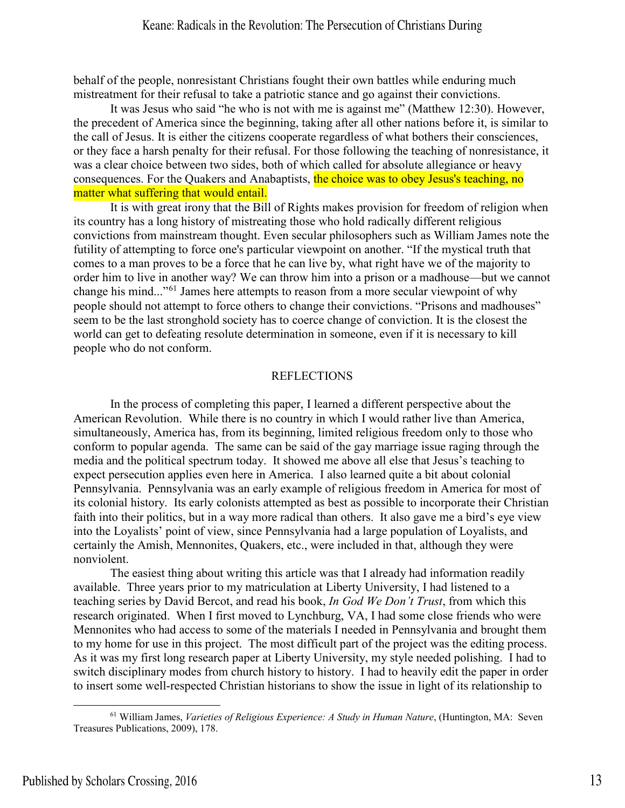behalf of the people, nonresistant Christians fought their own battles while enduring much mistreatment for their refusal to take a patriotic stance and go against their convictions.

It was Jesus who said "he who is not with me is against me" (Matthew 12:30). However, the precedent of America since the beginning, taking after all other nations before it, is similar to the call of Jesus. It is either the citizens cooperate regardless of what bothers their consciences, or they face a harsh penalty for their refusal. For those following the teaching of nonresistance, it was a clear choice between two sides, both of which called for absolute allegiance or heavy consequences. For the Quakers and Anabaptists, the choice was to obey Jesus's teaching, no matter what suffering that would entail.

It is with great irony that the Bill of Rights makes provision for freedom of religion when its country has a long history of mistreating those who hold radically different religious convictions from mainstream thought. Even secular philosophers such as William James note the futility of attempting to force one's particular viewpoint on another. "If the mystical truth that comes to a man proves to be a force that he can live by, what right have we of the majority to order him to live in another way? We can throw him into a prison or a madhouse—but we cannot change his mind..."[61](#page-13-0) James here attempts to reason from a more secular viewpoint of why people should not attempt to force others to change their convictions. "Prisons and madhouses" seem to be the last stronghold society has to coerce change of conviction. It is the closest the world can get to defeating resolute determination in someone, even if it is necessary to kill people who do not conform.

# REFLECTIONS

 In the process of completing this paper, I learned a different perspective about the American Revolution. While there is no country in which I would rather live than America, simultaneously, America has, from its beginning, limited religious freedom only to those who conform to popular agenda. The same can be said of the gay marriage issue raging through the media and the political spectrum today. It showed me above all else that Jesus's teaching to expect persecution applies even here in America. I also learned quite a bit about colonial Pennsylvania. Pennsylvania was an early example of religious freedom in America for most of its colonial history. Its early colonists attempted as best as possible to incorporate their Christian faith into their politics, but in a way more radical than others. It also gave me a bird's eye view into the Loyalists' point of view, since Pennsylvania had a large population of Loyalists, and certainly the Amish, Mennonites, Quakers, etc., were included in that, although they were nonviolent.

The easiest thing about writing this article was that I already had information readily available. Three years prior to my matriculation at Liberty University, I had listened to a teaching series by David Bercot, and read his book, *In God We Don't Trust*, from which this research originated. When I first moved to Lynchburg, VA, I had some close friends who were Mennonites who had access to some of the materials I needed in Pennsylvania and brought them to my home for use in this project. The most difficult part of the project was the editing process. As it was my first long research paper at Liberty University, my style needed polishing. I had to switch disciplinary modes from church history to history. I had to heavily edit the paper in order to insert some well-respected Christian historians to show the issue in light of its relationship to

<span id="page-13-0"></span><sup>61</sup> William James, *Varieties of Religious Experience: A Study in Human Nature*, (Huntington, MA: Seven Treasures Publications, 2009), 178.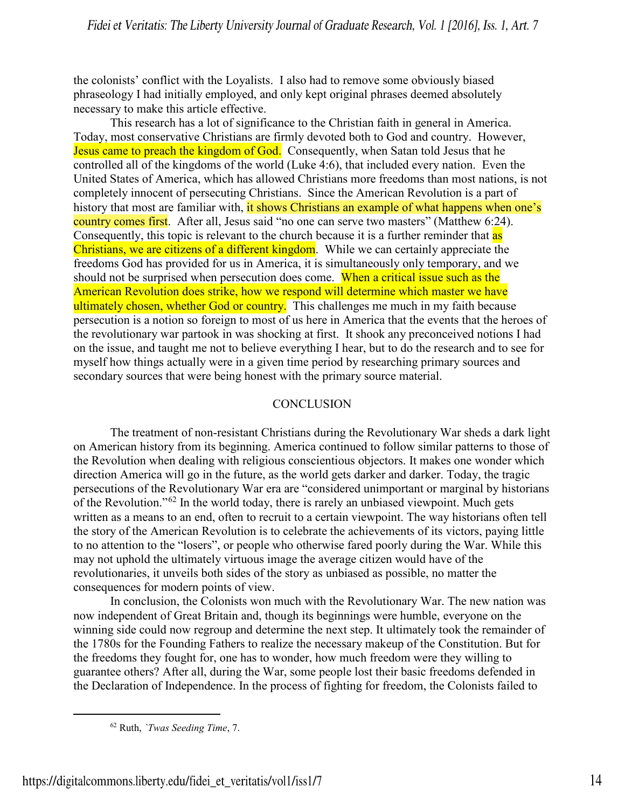the colonists' conflict with the Loyalists. I also had to remove some obviously biased phraseology I had initially employed, and only kept original phrases deemed absolutely necessary to make this article effective.

This research has a lot of significance to the Christian faith in general in America. Today, most conservative Christians are firmly devoted both to God and country. However, Jesus came to preach the kingdom of God. Consequently, when Satan told Jesus that he controlled all of the kingdoms of the world (Luke 4:6), that included every nation. Even the United States of America, which has allowed Christians more freedoms than most nations, is not completely innocent of persecuting Christians. Since the American Revolution is a part of history that most are familiar with, it shows Christians an example of what happens when one's country comes first. After all, Jesus said "no one can serve two masters" (Matthew 6:24). Consequently, this topic is relevant to the church because it is a further reminder that as Christians, we are citizens of a different kingdom. While we can certainly appreciate the freedoms God has provided for us in America, it is simultaneously only temporary, and we should not be surprised when persecution does come. When a critical issue such as the American Revolution does strike, how we respond will determine which master we have ultimately chosen, whether God or country. This challenges me much in my faith because persecution is a notion so foreign to most of us here in America that the events that the heroes of the revolutionary war partook in was shocking at first. It shook any preconceived notions I had on the issue, and taught me not to believe everything I hear, but to do the research and to see for myself how things actually were in a given time period by researching primary sources and secondary sources that were being honest with the primary source material.

## **CONCLUSION**

The treatment of non-resistant Christians during the Revolutionary War sheds a dark light on American history from its beginning. America continued to follow similar patterns to those of the Revolution when dealing with religious conscientious objectors. It makes one wonder which direction America will go in the future, as the world gets darker and darker. Today, the tragic persecutions of the Revolutionary War era are "considered unimportant or marginal by historians of the Revolution."[62](#page-14-0) In the world today, there is rarely an unbiased viewpoint. Much gets written as a means to an end, often to recruit to a certain viewpoint. The way historians often tell the story of the American Revolution is to celebrate the achievements of its victors, paying little to no attention to the "losers", or people who otherwise fared poorly during the War. While this may not uphold the ultimately virtuous image the average citizen would have of the revolutionaries, it unveils both sides of the story as unbiased as possible, no matter the consequences for modern points of view.

In conclusion, the Colonists won much with the Revolutionary War. The new nation was now independent of Great Britain and, though its beginnings were humble, everyone on the winning side could now regroup and determine the next step. It ultimately took the remainder of the 1780s for the Founding Fathers to realize the necessary makeup of the Constitution. But for the freedoms they fought for, one has to wonder, how much freedom were they willing to guarantee others? After all, during the War, some people lost their basic freedoms defended in the Declaration of Independence. In the process of fighting for freedom, the Colonists failed to

<span id="page-14-0"></span><sup>62</sup> Ruth, *`Twas Seeding Time*, 7.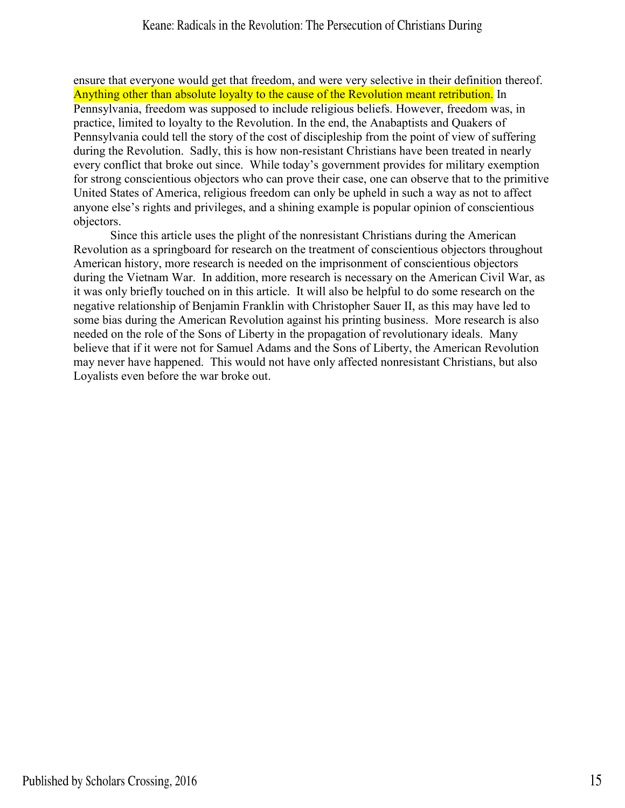ensure that everyone would get that freedom, and were very selective in their definition thereof. Anything other than absolute loyalty to the cause of the Revolution meant retribution. In Pennsylvania, freedom was supposed to include religious beliefs. However, freedom was, in practice, limited to loyalty to the Revolution. In the end, the Anabaptists and Quakers of Pennsylvania could tell the story of the cost of discipleship from the point of view of suffering during the Revolution. Sadly, this is how non-resistant Christians have been treated in nearly every conflict that broke out since. While today's government provides for military exemption for strong conscientious objectors who can prove their case, one can observe that to the primitive United States of America, religious freedom can only be upheld in such a way as not to affect anyone else's rights and privileges, and a shining example is popular opinion of conscientious objectors.

Since this article uses the plight of the nonresistant Christians during the American Revolution as a springboard for research on the treatment of conscientious objectors throughout American history, more research is needed on the imprisonment of conscientious objectors during the Vietnam War. In addition, more research is necessary on the American Civil War, as it was only briefly touched on in this article. It will also be helpful to do some research on the negative relationship of Benjamin Franklin with Christopher Sauer II, as this may have led to some bias during the American Revolution against his printing business. More research is also needed on the role of the Sons of Liberty in the propagation of revolutionary ideals. Many believe that if it were not for Samuel Adams and the Sons of Liberty, the American Revolution may never have happened. This would not have only affected nonresistant Christians, but also Loyalists even before the war broke out.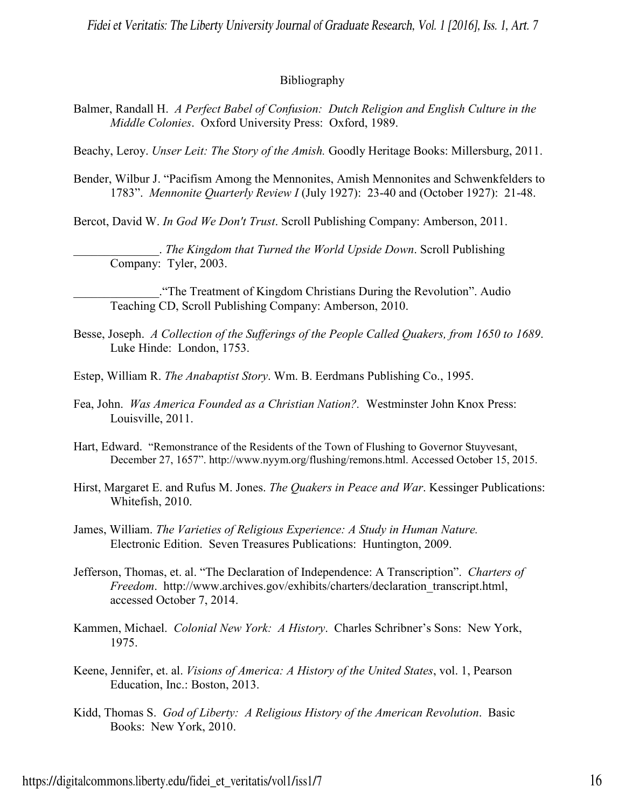# Bibliography

Balmer, Randall H. *A Perfect Babel of Confusion: Dutch Religion and English Culture in the Middle Colonies*. Oxford University Press: Oxford, 1989.

Beachy, Leroy. *Unser Leit: The Story of the Amish.* Goodly Heritage Books: Millersburg, 2011.

Bender, Wilbur J. "Pacifism Among the Mennonites, Amish Mennonites and Schwenkfelders to 1783". *Mennonite Quarterly Review I* (July 1927): 23-40 and (October 1927): 21-48.

Bercot, David W. *In God We Don't Trust*. Scroll Publishing Company: Amberson, 2011.

\_\_\_\_\_\_\_\_\_\_\_\_\_\_. *The Kingdom that Turned the World Upside Down*. Scroll Publishing Company: Tyler, 2003.

\_\_\_\_\_\_\_\_\_\_\_\_\_\_."The Treatment of Kingdom Christians During the Revolution". Audio Teaching CD, Scroll Publishing Company: Amberson, 2010.

- Besse, Joseph. *A Collection of the Sufferings of the People Called Quakers, from 1650 to 1689*. Luke Hinde: London, 1753.
- Estep, William R. *The Anabaptist Story*. Wm. B. Eerdmans Publishing Co., 1995.
- Fea, John. *Was America Founded as a Christian Nation?.* Westminster John Knox Press: Louisville, 2011.
- Hart, Edward. "Remonstrance of the Residents of the Town of Flushing to Governor Stuyvesant, December 27, 1657". http://www.nyym.org/flushing/remons.html. Accessed October 15, 2015.
- Hirst, Margaret E. and Rufus M. Jones. *The Quakers in Peace and War*. Kessinger Publications: Whitefish, 2010.
- James, William. *The Varieties of Religious Experience: A Study in Human Nature.* Electronic Edition. Seven Treasures Publications: Huntington, 2009.
- Jefferson, Thomas, et. al. "The Declaration of Independence: A Transcription". *Charters of Freedom*. [http://www.archives.gov/exhibits/charters/declaration\\_transcript.html,](http://www.archives.gov/exhibits/charters/declaration_transcript.html) accessed October 7, 2014.
- Kammen, Michael. *Colonial New York: A History*. Charles Schribner's Sons: New York, 1975.
- Keene, Jennifer, et. al. *Visions of America: A History of the United States*, vol. 1, Pearson Education, Inc.: Boston, 2013.
- Kidd, Thomas S. *God of Liberty: A Religious History of the American Revolution*. Basic Books: New York, 2010.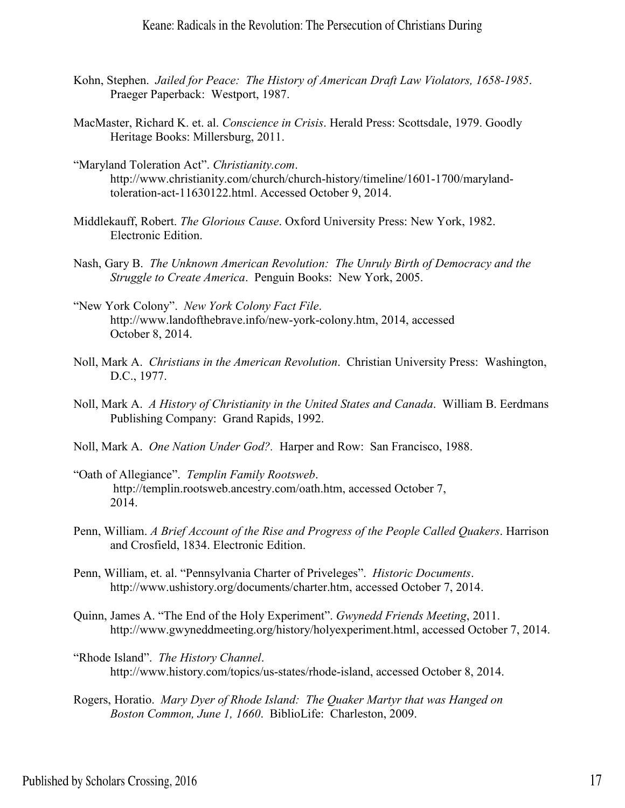- Kohn, Stephen. *Jailed for Peace: The History of American Draft Law Violators, 1658-1985*. Praeger Paperback: Westport, 1987.
- MacMaster, Richard K. et. al. *Conscience in Crisis*. Herald Press: Scottsdale, 1979. Goodly Heritage Books: Millersburg, 2011.
- "Maryland Toleration Act". *Christianity.com*. http://www.christianity.com/church/church-history/timeline/1601-1700/marylandtoleration-act-11630122.html. Accessed October 9, 2014.
- Middlekauff, Robert. *The Glorious Cause*. Oxford University Press: New York, 1982. Electronic Edition.
- Nash, Gary B. *The Unknown American Revolution: The Unruly Birth of Democracy and the Struggle to Create America*. Penguin Books: New York, 2005.
- "New York Colony". *New York Colony Fact File*. [http://www.landofthebrave.info/new-york-colony.htm,](http://www.landofthebrave.info/new-york-colony.htm) 2014, accessed October 8, 2014.
- Noll, Mark A. *Christians in the American Revolution*. Christian University Press: Washington, D.C., 1977.
- Noll, Mark A. *A History of Christianity in the United States and Canada*. William B. Eerdmans Publishing Company: Grand Rapids, 1992.
- Noll, Mark A. *One Nation Under God?.* Harper and Row: San Francisco, 1988.
- "Oath of Allegiance". *Templin Family Rootsweb*. [http://templin.rootsweb.ancestry.com/oath.htm,](http://templin.rootsweb.ancestry.com/oath.htm) accessed October 7, 2014.
- Penn, William. *A Brief Account of the Rise and Progress of the People Called Quakers*. Harrison and Crosfield, 1834. Electronic Edition.
- Penn, William, et. al. "Pennsylvania Charter of Priveleges". *Historic Documents*. [http://www.ushistory.org/documents/charter.htm,](http://www.ushistory.org/documents/charter.htm) accessed October 7, 2014.
- Quinn, James A. "The End of the Holy Experiment". *Gwynedd Friends Meeting*, 2011. [http://www.gwyneddmeeting.org/history/holyexperiment.html,](http://www.gwyneddmeeting.org/history/holyexperiment.html) accessed October 7, 2014.
- "Rhode Island". *The History Channel*. [http://www.history.com/topics/us-states/rhode-island,](http://www.history.com/topics/us-states/rhode-island) accessed October 8, 2014.
- Rogers, Horatio. *Mary Dyer of Rhode Island: The Quaker Martyr that was Hanged on Boston Common, June 1, 1660*. BiblioLife: Charleston, 2009.